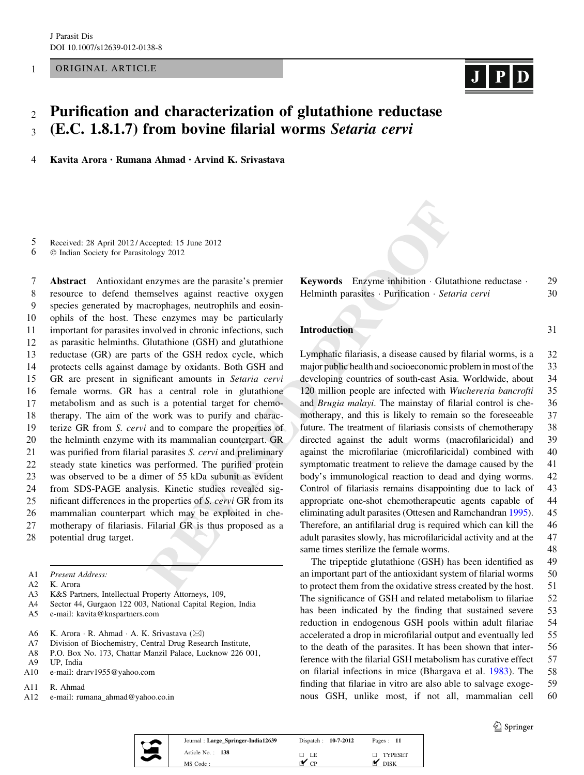1 ORIGINAL ARTICLE

# <sup>2</sup> Purification and characterization of glutathione reductase <sup>3</sup> (E.C. 1.8.1.7) from bovine filarial worms Setaria cervi

4 Kavita Arora • Rumana Ahmad • Arvind K. Srivastava

5 Received: 28 April 2012/Accepted: 15 June 2012<br>6 © Indian Society for Parasitology 2012

6 - Indian Society for Parasitology 2012

ccepted: 15 June 2012<br>
ology 2012<br>
ccepted: 15 June 2012<br>
mexicons are the parasite's premier<br> **Exerywords** Enzyme inhibition · Gluta<br>
are<br>
are companies, neutrophilis and cosin-<br>
exercent particularly<br>
worded in chronic i Abstract Antioxidant enzymes are the parasite's premier resource to defend themselves against reactive oxygen species generated by macrophages, neutrophils and eosin- ophils of the host. These enzymes may be particularly important for parasites involved in chronic infections, such as parasitic helminths. Glutathione (GSH) and glutathione reductase (GR) are parts of the GSH redox cycle, which protects cells against damage by oxidants. Both GSH and GR are present in significant amounts in Setaria cervi female worms. GR has a central role in glutathione metabolism and as such is a potential target for chemo- therapy. The aim of the work was to purify and charac- terize GR from S. cervi and to compare the properties of the helminth enzyme with its mammalian counterpart. GR was purified from filarial parasites S. cervi and preliminary steady state kinetics was performed. The purified protein was observed to be a dimer of 55 kDa subunit as evident from SDS-PAGE analysis. Kinetic studies revealed sig-25 nificant differences in the properties of S. cervi GR from its mammalian counterpart which may be exploited in che- motherapy of filariasis. Filarial GR is thus proposed as a potential drug target.

- A1 Present Address:
- A2 K. Arora
- A3 K&S Partners, Intellectual Property Attorneys, 109,
- A4 Sector 44, Gurgaon 122 003, National Capital Region, India
- A5 e-mail: kavita@knspartners.com
- A6 K. Arora  $\cdot$  R. Ahmad  $\cdot$  A. K. Srivastava ( $\boxtimes$ )
- A7 Division of Biochemistry, Central Drug Research Institute,
- A8 P.O. Box No. 173, Chattar Manzil Palace, Lucknow 226 001,
- A9 UP, India<br>A10 e-mail: dr
- e-mail: drarv1955@yahoo.com
- A11 R. Ahmad
- A12 e-mail: rumana\_ahmad@yahoo.co.in

Keywords Enzyme inhibition - Glutathione reductase - 29 Helminth parasites · Purification · Setaria cervi 30

**Introduction** 31

Lymphatic filariasis, a disease caused by filarial worms, is a 32 major public health and socioeconomic problem in most of the 33 developing countries of south-east Asia. Worldwide, about 34 120 million people are infected with Wuchereria bancrofti 35 and Brugia malayi. The mainstay of filarial control is che- 36 motherapy, and this is likely to remain so the foreseeable 37 future. The treatment of filariasis consists of chemotherapy 38 directed against the adult worms (macrofilaricidal) and 39 against the microfilariae (microfilaricidal) combined with 40 symptomatic treatment to relieve the damage caused by the 41 body's immunological reaction to dead and dying worms. 42 Control of filariasis remains disappointing due to lack of 43 appropriate one-shot chemotherapeutic agents capable of 44 eliminating adult parasites (Ottesen and Ramchandran [1995\)](#page-9-0). 45 Therefore, an antifilarial drug is required which can kill the 46 adult parasites slowly, has microfilaricidal activity and at the 47 same times sterilize the female worms. 48

The tripeptide glutathione (GSH) has been identified as 49 an important part of the antioxidant system of filarial worms 50 to protect them from the oxidative stress created by the host. 51 The significance of GSH and related metabolism to filariae 52 has been indicated by the finding that sustained severe 53 reduction in endogenous GSH pools within adult filariae 54 accelerated a drop in microfilarial output and eventually led 55 to the death of the parasites. It has been shown that inter- 56 ference with the filarial GSH metabolism has curative effect 57 on filarial infections in mice (Bhargava et al. [1983\)](#page-8-0). The 58 finding that filariae in vitro are also able to salvage exoge- 59 nous GSH, unlike most, if not all, mammalian cell 60



Journal : Large\_Springer-India12639 Dispatch : 10-7-2012 Pages : 11 Article No. : 138  $\Box$  LE  $\Box$  TYPESET  $\overline{M}$  CP  $\overline{M}$  DISK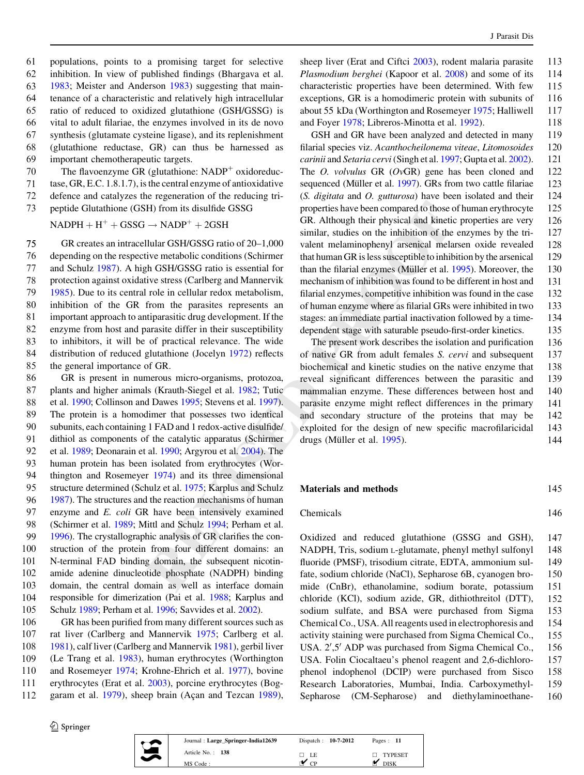populations, points to a promising target for selective inhibition. In view of published findings (Bhargava et al. [1983;](#page-8-0) Meister and Anderson [1983](#page-9-0)) suggesting that main- tenance of a characteristic and relatively high intracellular ratio of reduced to oxidized glutathione (GSH/GSSG) is vital to adult filariae, the enzymes involved in its de novo synthesis (glutamate cysteine ligase), and its replenishment (glutathione reductase, GR) can thus be harnessed as important chemotherapeutic targets.

70 The flavoenzyme GR (glutathione:  $NADP<sup>+</sup>$  oxidoreduc-71 tase, GR, E.C. 1.8.1.7), is the central enzyme of antioxidative 72 defence and catalyzes the regeneration of the reducing tri-

73 peptide Glutathione (GSH) from its disulfide GSSG

$$
NADPH + H^+ + GSSG \rightarrow NADP^+ + 2GSH
$$

 GR creates an intracellular GSH/GSSG ratio of 20–1,000 depending on the respective metabolic conditions (Schirmer and Schulz [1987\)](#page-9-0). A high GSH/GSSG ratio is essential for protection against oxidative stress (Carlberg and Mannervik [1985\)](#page-8-0). Due to its central role in cellular redox metabolism, inhibition of the GR from the parasites represents an important approach to antiparasitic drug development. If the enzyme from host and parasite differ in their susceptibility to inhibitors, it will be of practical relevance. The wide distribution of reduced glutathione (Jocelyn [1972](#page-9-0)) reflects the general importance of GR.

H) from its distulfide GSSG<br>
properties have been compared to those on  $\sim$  NA[D](#page-10-0)P<sup>+</sup> + 2GSH<br>
(SR Although their physical and kinetic<br>
ulular GSH/GSSG ratio of 20-1,000 valent melaminophenyl arsenical and<br>
interior metaboli GR is present in numerous micro-organisms, protozoa, 87 plants and higher animals (Krauth-Siegel et al. 1982; Tutic et al. [1990](#page-10-0); Collinson and Dawes 1995; Stevens et al. 1997). The protein is a homodimer that possesses two identical subunits, each containing 1 FAD and 1 redox-active disulfide/ dithiol as components of the catalytic apparatus (Schirmer et al. [1989](#page-9-0); Deonarain et al. 1990; Argyrou et al. 2004). The human protein has been isolated from erythrocytes (Wor- thington and Rosemeyer 1974) and its three dimensional structure determined (Schulz et al. 1975; Karplus and Schulz [1987\)](#page-9-0). The structures and the reaction mechanisms of human 97 enzyme and E. coli GR have been intensively examined 98 (Schirmer et al. [1989;](#page-9-0) Mittl and Schulz 1994; Perham et al. [1996\)](#page-9-0). The crystallographic analysis of GR clarifies the con- struction of the protein from four different domains: an N-terminal FAD binding domain, the subsequent nicotin- amide adenine dinucleotide phosphate (NADPH) binding domain, the central domain as well as interface domain responsible for dimerization (Pai et al. [1988](#page-9-0); Karplus and Schulz [1989;](#page-9-0) Perham et al. [1996](#page-9-0); Savvides et al. [2002\)](#page-9-0).

 GR has been purified from many different sources such as rat liver (Carlberg and Mannervik [1975](#page-8-0); Carlberg et al. [1981\)](#page-8-0), calf liver (Carlberg and Mannervik [1981\)](#page-8-0), gerbil liver (Le Trang et al. [1983\)](#page-9-0), human erythrocytes (Worthington and Rosemeyer [1974;](#page-10-0) Krohne-Ehrich et al. [1977](#page-9-0)), bovine erythrocytes (Erat et al. [2003\)](#page-9-0), porcine erythrocytes (Bog-112 garam et al. [1979](#page-8-0)), sheep brain (Açan and Tezcan [1989](#page-8-0)), sheep liver (Erat and Ciftci [2003](#page-9-0)), rodent malaria parasite 113 Plasmodium berghei (Kapoor et al. [2008\)](#page-9-0) and some of its 114 characteristic properties have been determined. With few 115 exceptions, GR is a homodimeric protein with subunits of 116 about 55 kDa (Worthington and Rosemeyer [1975](#page-10-0); Halliwell 117 and Foyer [1978](#page-9-0); Libreros-Minotta et al. [1992\)](#page-9-0). 118

GSH and GR have been analyzed and detected in many 119 filarial species viz. Acanthocheilonema viteae, Litomosoides 120 carinii and Setaria cervi (Singh et al. [1997;](#page-10-0) Gupta et al. [2002\)](#page-9-0). 121 The *O. volvulus* GR  $(OvGR)$  gene has been cloned and 122 sequenced (Müller et al. [1997\)](#page-9-0). GRs from two cattle filariae 123 (S. digitata and O. gutturosa) have been isolated and their 124 properties have been compared to those of human erythrocyte 125 GR. Although their physical and kinetic properties are very 126 similar, studies on the inhibition of the enzymes by the tri- 127 valent melaminophenyl arsenical melarsen oxide revealed 128 that human GR is less susceptible to inhibition by the arsenical 129 than the filarial enzymes (Müller et al.  $1995$ ). Moreover, the 130 mechanism of inhibition was found to be different in host and 131 filarial enzymes, competitive inhibition was found in the case 132 of human enzyme where as filarial GRs were inhibited in two 133 stages: an immediate partial inactivation followed by a time- 134 dependent stage with saturable pseudo-first-order kinetics. 135

The present work describes the isolation and purification 136 of native GR from adult females S. cervi and subsequent 137 biochemical and kinetic studies on the native enzyme that 138 reveal significant differences between the parasitic and 139 mammalian enzyme. These differences between host and 140 parasite enzyme might reflect differences in the primary 141 and secondary structure of the proteins that may be 142 exploited for the design of new specific macrofilaricidal 143 drugs (Müller et al. [1995](#page-9-0)). 144

#### Materials and methods 145

Chemicals 146

Oxidized and reduced glutathione (GSSG and GSH), 147 NADPH, Tris, sodium L-glutamate, phenyl methyl sulfonyl 148 fluoride (PMSF), trisodium citrate, EDTA, ammonium sul- 149 fate, sodium chloride (NaCl), Sepharose 6B, cyanogen bro- 150 mide (CnBr), ethanolamine, sodium borate, potassium 151 chloride (KCl), sodium azide, GR, dithiothreitol (DTT), 152 sodium sulfate, and BSA were purchased from Sigma 153 Chemical Co., USA. All reagents used in electrophoresis and 154 activity staining were purchased from Sigma Chemical Co., 155 USA. 2',5' ADP was purchased from Sigma Chemical Co., 156 USA. Folin Ciocaltaeu's phenol reagent and 2,6-dichloro- 157 phenol indophenol (DCIP) were purchased from Sisco 158 Research Laboratories, Mumbai, India. Carboxymethyl- 159 Sepharose (CM-Sepharose) and diethylaminoethane- 160

| Journal: Large_Springer-India12639 | Dispatch: 10-7-2012 | Pages: $11$    |
|------------------------------------|---------------------|----------------|
| Article No.: 138                   | - LE                | <b>TYPESET</b> |
| MS Code:                           |                     | <b>DISK</b>    |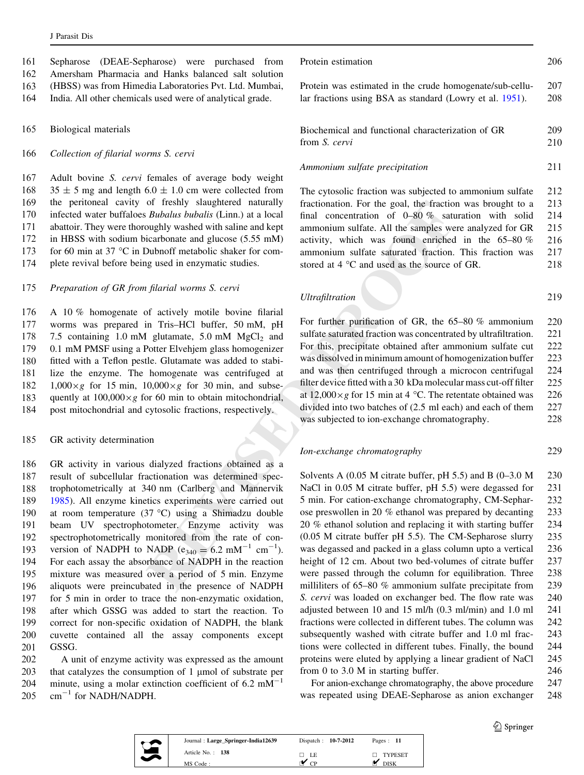161 Sepharose (DEAE-Sepharose) were purchased from 162 Amersham Pharmacia and Hanks balanced salt solution 163 (HBSS) was from Himedia Laboratories Pvt. Ltd. Mumbai,

164 India. All other chemicals used were of analytical grade.

165 Biological materials

166 Collection of filarial worms S. cervi

 Adult bovine S. cervi females of average body weight  $35 \pm 5$  mg and length 6.0  $\pm$  1.0 cm were collected from the peritoneal cavity of freshly slaughtered naturally infected water buffaloes Bubalus bubalis (Linn.) at a local abattoir. They were thoroughly washed with saline and kept in HBSS with sodium bicarbonate and glucose (5.55 mM) 173 for 60 min at 37  $\degree$ C in Dubnoff metabolic shaker for com-plete revival before being used in enzymatic studies.

#### 175 Preparation of GR from filarial worms S. cervi

 A 10 % homogenate of actively motile bovine filarial worms was prepared in Tris–HCl buffer, 50 mM, pH 178 7.5 containing 1.0 mM glutamate, 5.0 mM  $MgCl<sub>2</sub>$  and 0.1 mM PMSF using a Potter Elvehjem glass homogenizer fitted with a Teflon pestle. Glutamate was added to stabi- lize the enzyme. The homogenate was centrifuged at 182 1,000 $\times$ g for 15 min, 10,000 $\times$ g for 30 min, and subse-183 quently at  $100,000 \times g$  for 60 min to obtain mitochondrial, post mitochondrial and cytosolic fractions, respectively.

### 185 GR activity determination

 GR activity in various dialyzed fractions obtained as a result of subcellular fractionation was determined spec- trophotometrically at 340 nm (Carlberg and Mannervik [1985\)](#page-8-0). All enzyme kinetics experiments were carried out 190 at room temperature  $(37 °C)$  using a Shimadzu double beam UV spectrophotometer. Enzyme activity was spectrophotometrically monitored from the rate of con-193 version of NADPH to NADP  $(e_{340} = 6.2 \text{ mM}^{-1} \text{ cm}^{-1})$ . For each assay the absorbance of NADPH in the reaction mixture was measured over a period of 5 min. Enzyme aliquots were preincubated in the presence of NADPH for 5 min in order to trace the non-enzymatic oxidation, after which GSSG was added to start the reaction. To correct for non-specific oxidation of NADPH, the blank cuvette contained all the assay components except 201 GSSG.

202 A unit of enzyme activity was expressed as the amount 203 that catalyzes the consumption of 1  $\mu$ mol of substrate per 204 minute, using a molar extinction coefficient of  $6.2 \text{ mM}^{-1}$  $205$  cm<sup>-1</sup> for NADH/NADPH.

#### Protein estimation 206

| Protein was estimated in the crude homogenate/sub-cellu- | 207 |
|----------------------------------------------------------|-----|
| lar fractions using BSA as standard (Lowry et al. 1951). | 208 |

| Biochemical and functional characterization of GR | 209 |
|---------------------------------------------------|-----|
| from <i>S. cervi</i>                              | 210 |

Ammonium sulfate precipitation 211

The cytosolic fraction was subjected to ammonium sulfate 212 fractionation. For the goal, the fraction was brought to a 213 final concentration of 0–80 % saturation with solid 214 ammonium sulfate. All the samples were analyzed for GR 215 activity, which was found enriched in the 65–80 % 216 ammonium sulfate saturated fraction. This fraction was 217 stored at  $4^{\circ}$ C and used as the source of GR. 218

Ultrafiltration 219

For further purification of GR, the 65–80 % ammonium 220 sulfate saturated fraction was concentrated by ultrafiltration. 221 For this, precipitate obtained after ammonium sulfate cut 222 was dissolved in minimum amount of homogenization buffer 223 and was then centrifuged through a microcon centrifugal 224 filter device fitted with a 30 kDa molecular mass cut-off filter 225 at 12,000 $\times$ g for 15 min at 4 °C. The retentate obtained was 226 divided into two batches of (2.5 ml each) and each of them 227 was subjected to ion-exchange chromatography. 228

#### Ion-exchange chromatography 229

of restily slaughtered naturally fractionation. For the goal, the fraction of D-80  $\%$  satted by factorization of D-80  $\%$  satted by final concentration of D-80  $\%$  satted by the samples we can deplace (5.55 mM) activi Solvents A  $(0.05 \text{ M})$  citrate buffer, pH 5.5) and B  $(0-3.0 \text{ M})$  230 NaCl in 0.05 M citrate buffer, pH 5.5) were degassed for 231 5 min. For cation-exchange chromatography, CM-Sephar- 232 ose preswollen in 20 % ethanol was prepared by decanting 233 20 % ethanol solution and replacing it with starting buffer 234 (0.05 M citrate buffer pH 5.5). The CM-Sepharose slurry 235 was degassed and packed in a glass column upto a vertical 236 height of 12 cm. About two bed-volumes of citrate buffer 237 were passed through the column for equilibration. Three 238 milliliters of 65–80 % ammonium sulfate precipitate from 239 S. cervi was loaded on exchanger bed. The flow rate was 240 adjusted between 10 and 15 ml/h (0.3 ml/min) and 1.0 ml 241 fractions were collected in different tubes. The column was 242 subsequently washed with citrate buffer and 1.0 ml frac- 243 tions were collected in different tubes. Finally, the bound 244 proteins were eluted by applying a linear gradient of NaCl 245 from 0 to 3.0 M in starting buffer. 246

> For anion-exchange chromatography, the above procedure 247 was repeated using DEAE-Sepharose as anion exchanger 248



| Journal: Large_Springer-India12639 | Dispatch: 10-7-2012 | Pages: 11   |  |
|------------------------------------|---------------------|-------------|--|
| Article No.: 138                   | LE                  | TYPESET     |  |
| MS Code:                           |                     | <b>DISK</b> |  |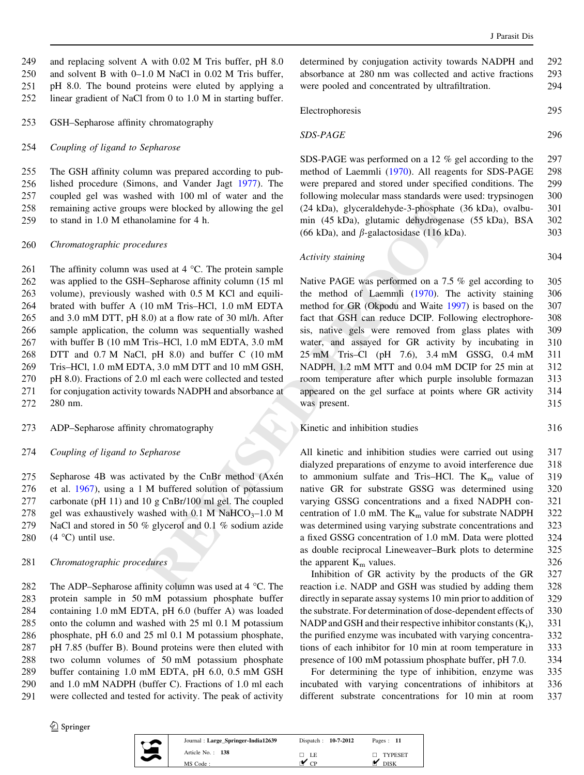- 249 and replacing solvent A with 0.02 M Tris buffer, pH 8.0 250 and solvent B with 0–1.0 M NaCl in 0.02 M Tris buffer, 251 pH 8.0. The bound proteins were eluted by applying a 252 linear gradient of NaCl from 0 to 1.0 M in starting buffer.
- 253 GSH–Sepharose affinity chromatography

254 Coupling of ligand to Sepharose

 The GSH affinity column was prepared according to pub- lished procedure (Simons, and Vander Jagt [1977](#page-10-0)). The coupled gel was washed with 100 ml of water and the remaining active groups were blocked by allowing the gel to stand in 1.0 M ethanolamine for 4 h.

#### 260 Chromatographic procedures

261 The affinity column was used at  $4^{\circ}$ C. The protein sample was applied to the GSH–Sepharose affinity column (15 ml volume), previously washed with 0.5 M KCl and equili- brated with buffer A (10 mM Tris–HCl, 1.0 mM EDTA and 3.0 mM DTT, pH 8.0) at a flow rate of 30 ml/h. After sample application, the column was sequentially washed with buffer B (10 mM Tris–HCl, 1.0 mM EDTA, 3.0 mM DTT and 0.7 M NaCl, pH 8.0) and buffer C (10 mM Tris–HCl, 1.0 mM EDTA, 3.0 mM DTT and 10 mM GSH, pH 8.0). Fractions of 2.0 ml each were collected and tested for conjugation activity towards NADPH and absorbance at 272 280 nm.

273 ADP–Sepharose affinity chromatography

#### 274 Coupling of ligand to Sepharose

275 Sepharose 4B was activated by the CnBr method (Axén et al. [1967](#page-8-0)), using a 1 M buffered solution of potassium carbonate (pH 11) and 10 g CnBr/100 ml gel. The coupled 278 gel was exhaustively washed with  $0.1$  M NaHCO<sub>3</sub>–1.0 M NaCl and stored in 50 % glycerol and 0.1 % sodium azide  $(4 °C)$  until use.

281 Chromatographic procedures

282 The ADP–Sepharose affinity column was used at  $4 °C$ . The protein sample in 50 mM potassium phosphate buffer containing 1.0 mM EDTA, pH 6.0 (buffer A) was loaded onto the column and washed with 25 ml 0.1 M potassium phosphate, pH 6.0 and 25 ml 0.1 M potassium phosphate, pH 7.85 (buffer B). Bound proteins were then eluted with two column volumes of 50 mM potassium phosphate buffer containing 1.0 mM EDTA, pH 6.0, 0.5 mM GSH and 1.0 mM NADPH (buffer C). Fractions of 1.0 ml each were collected and tested for activity. The peak of activity

2 Springer



Electrophoresis 295

 $SDS-PAGE$  296

SDS-PAGE was performed on a 12 % gel according to the 297 method of Laemmli ([1970\)](#page-9-0). All reagents for SDS-PAGE 298 were prepared and stored under specified conditions. The 299 following molecular mass standards were used: trypsinogen 300 (24 kDa), glyceraldehyde-3-phosphate (36 kDa), ovalbu- 301 min (45 kDa), glutamic dehydrogenase (55 kDa), BSA 302 (66 kDa), and  $\beta$ -galactosidase (116 kDa). 303

Activity staining 304

were blocked by allowing the gel  $(24 \text{ kDa})$ , glyceraldehyde-3-phosphate<br>
lamine for 4 h.<br>
min (45 kDa), and  $\beta$ -galactosidase (116 kD<br>
dures<br>
sused at 4 °C. The protein sample<br>
Activity staining<br>
Sepharose affinity colu Native PAGE was performed on a 7.5 % gel according to 305 the method of Laemmli (1970). The activity staining 306 method for GR (Okpodu and Waite [1997](#page-9-0)) is based on the 307 fact that GSH can reduce DCIP. Following electrophore- 308 sis, native gels were removed from glass plates with 309 water, and assayed for GR activity by incubating in 310 25 mM Tris–Cl (pH 7.6), 3.4 mM GSSG, 0.4 mM 311 NADPH, 1.2 mM MTT and 0.04 mM DCIP for 25 min at 312 room temperature after which purple insoluble formazan 313 appeared on the gel surface at points where GR activity 314 was present. 315

Kinetic and inhibition studies 316

All kinetic and inhibition studies were carried out using 317 dialyzed preparations of enzyme to avoid interference due 318 to ammonium sulfate and Tris–HCl. The  $K_m$  value of 319 native GR for substrate GSSG was determined using 320 varying GSSG concentrations and a fixed NADPH con- 321 centration of 1.0 mM. The  $K_m$  value for substrate NADPH 322 was determined using varying substrate concentrations and 323 a fixed GSSG concentration of 1.0 mM. Data were plotted 324 as double reciprocal Lineweaver–Burk plots to determine 325

Inhibition of GR activity by the products of the GR 327 reaction i.e. NADP and GSH was studied by adding them 328 directly in separate assay systems 10 min prior to addition of 329 the substrate. For determination of dose-dependent effects of 330 NADP and GSH and their respective inhibitor constants  $(K_i)$ , 331 the purified enzyme was incubated with varying concentra- 332 tions of each inhibitor for 10 min at room temperature in 333 presence of 100 mM potassium phosphate buffer, pH 7.0. 334

the apparent  $K_m$  values.  $326$ 

For determining the type of inhibition, enzyme was 335 incubated with varying concentrations of inhibitors at 336 different substrate concentrations for 10 min at room 337

| Journal: Large_Springer-India12639 | Dispatch: 10-7-2012 | Pages: 11      |  |
|------------------------------------|---------------------|----------------|--|
| Article No.: 138                   | - LE                | $\Box$ TYPESET |  |
| MS Code:                           | $\cap$              | <b>DISK</b>    |  |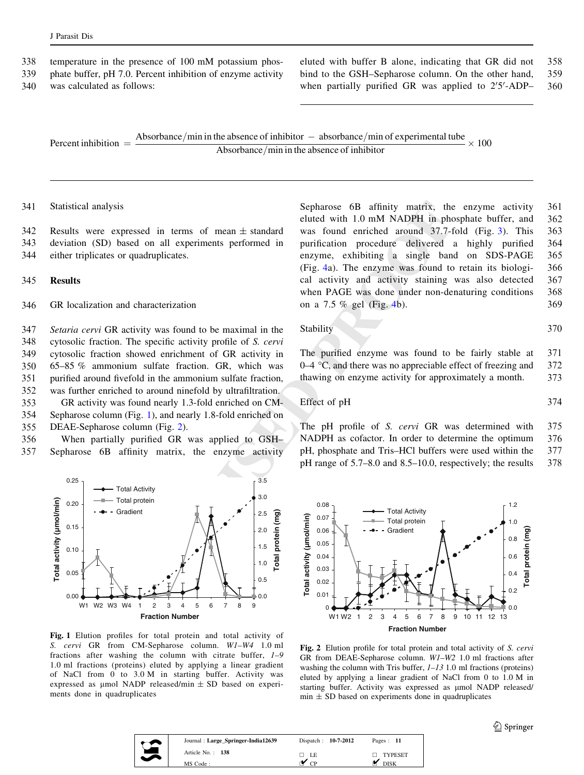- 338 temperature in the presence of 100 mM potassium phos-339 phate buffer, pH 7.0. Percent inhibition of enzyme activity
- 
- 340 was calculated as follows:

eluted with buffer B alone, indicating that GR did not 358 bind to the GSH–Sepharose column. On the other hand, 359 when partially purified GR was applied to  $2'5'$ -ADP- 360

Percent inhibition  $=$  Absorbance/min in the absence of inhibitor  $-$  absorbance/min of experimental tube Absorbance/min in the absence of inhibitor  $\times$  100

#### 341 Statistical analysis

0.00

0.05

0.10

**Total activity (µmol/min)**

Total activity (µmol/min)

0.15

0.20

0.25

342 Results were expressed in terms of mean  $\pm$  standard 343 deviation (SD) based on all experiments performed in 344 either triplicates or quadruplicates.

#### 345 Results

346 GR localization and characterization

 Setaria cervi GR activity was found to be maximal in the cytosolic fraction. The specific activity profile of S. cervi cytosolic fraction showed enrichment of GR activity in 65–85 % ammonium sulfate fraction. GR, which was purified around fivefold in the ammonium sulfate fraction, was further enriched to around ninefold by ultrafiltration.

353 GR activity was found nearly 1.3-fold enriched on CM-354 Sepharose column (Fig. 1), and nearly 1.8-fold enriched on 355 DEAE-Sepharose column (Fig. 2).

356 When partially purified GR was applied to GSH– 357 Sepharose 6B affinity matrix, the enzyme activity

> Total Activity Total protein Gradient



W1 W2 W3 W4 1 2 3 4 5 6 7 8 9 **Fraction Number**

Sepharose 6B affinity matrix, the<br>
electrocondical was found comicled around 37.7-fit<br>
all experiments performed in purification procedure delivered a<br>
enzyme, exhibiting a single band<br>
electrication and a stress found to Sepharose 6B affinity matrix, the enzyme activity 361 eluted with 1.0 mM NADPH in phosphate buffer, and 362 was found enriched around 37.7-fold (Fig. [3\)](#page-5-0). This 363 purification procedure delivered a highly purified 364 enzyme, exhibiting a single band on SDS-PAGE 365 (Fig. 4a). The enzyme was found to retain its biologi- 366 cal activity and activity staining was also detected 367 when PAGE was done under non-denaturing conditions 368 on a 7.5 % gel (Fig. 4b). 369

Stability 370

The purified enzyme was found to be fairly stable at 371 0–4  $\degree$ C, and there was no appreciable effect of freezing and 372 thawing on enzyme activity for approximately a month. 373

Effect of pH 374

0.08

The pH profile of S. cervi GR was determined with 375 NADPH as cofactor. In order to determine the optimum 376 pH, phosphate and Tris–HCl buffers were used within the 377 pH range of 5.7–8.0 and 8.5–10.0, respectively; the results 378

Total Activity **Total activity (µmol/min)**  0.07 Total protein 1.0 0.06 Gradient **Total protein (mg)** protein (mg) 0.8 0.05 0.6 0.04 0.03 Total 0.4 0.02 ሰ 2 0.01  $0.0$ 0 W1 W2 1 2 3 4 5 6 7 8 9 10 11 12 13 **Fraction Number**

Fig. 2 Elution profile for total protein and total activity of S. cervi GR from DEAE-Sepharose column. W1–W2 1.0 ml fractions after washing the column with Tris buffer,  $1 - 13$  1.0 ml fractions (proteins) eluted by applying a linear gradient of NaCl from 0 to 1.0 M in starting buffer. Activity was expressed as µmol NADP released/  $min \pm SD$  based on experiments done in quadruplicates

|--|

| Journal: Large_Springer-India12639 | Dispatch: 10-7-2012 | Pages: 11   |
|------------------------------------|---------------------|-------------|
| Article No.: 138                   | -LE                 | TYPESET     |
| MS Code:                           |                     | <b>DISK</b> |

0.0 0.5 1.0 1.5 2.0  $2.5$ 3.0 3.5

**Total protein (mg)**

 $\textcircled{2}$  Springer

1.2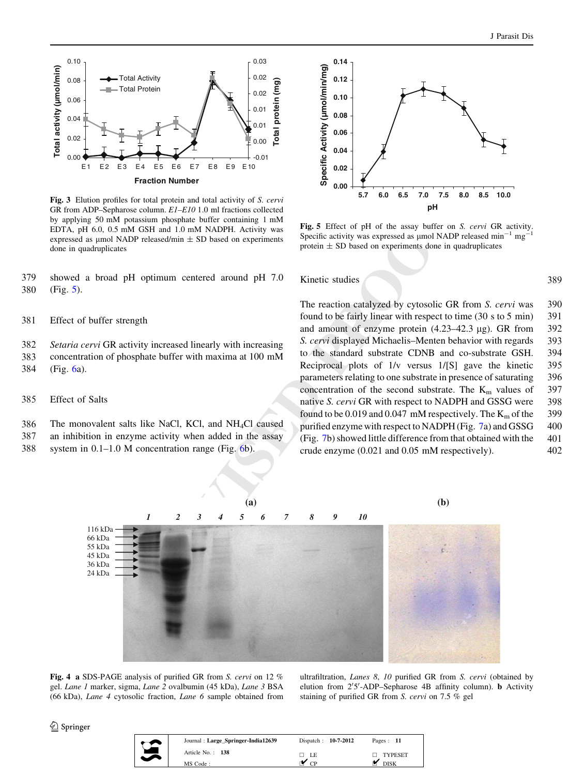<span id="page-5-0"></span>

Fig. 3 Elution profiles for total protein and total activity of S. cervi GR from ADP–Sepharose column. E1–E10 1.0 ml fractions collected by applying 50 mM potassium phosphate buffer containing 1 mM EDTA, pH 6.0, 0.5 mM GSH and 1.0 mM NADPH. Activity was expressed as  $\mu$ mol NADP released/min  $\pm$  SD based on experiments done in quadruplicates

- 379 showed a broad pH optimum centered around pH 7.0 380 (Fig. 5).
- 381 Effect of buffer strength
- 382 Setaria cervi GR activity increased linearly with increasing 383 concentration of phosphate buffer with maxima at 100 mM 384 (Fig. [6](#page-6-0)a).
- 385 Effect of Salts
- 386 The monovalent salts like NaCl, KCl, and NH4Cl caused 387 an inhibition in enzyme activity when added in the assay
- 388 system in 0.1–1.0 M concentration range (Fig. 6b).



Fig. 5 Effect of pH of the assay buffer on S. cervi GR activity. Specific activity was expressed as  $\mu$ mol NADP released min<sup>-1</sup> mg<sup>-1</sup> protein  $\pm$  SD based on experiments done in quadruplicates

Kinetic studies 389

The reaction catalyzed by cytosolic GR from S. cervi was 390 found to be fairly linear with respect to time (30 s to 5 min) 391 and amount of enzyme protein  $(4.23-42.3 \text{ µg})$ . GR from  $392$ S. cervi displayed Michaelis–Menten behavior with regards 393 to the standard substrate CDNB and co-substrate GSH. 394 Reciprocal plots of 1/v versus 1/[S] gave the kinetic 395 parameters relating to one substrate in presence of saturating 396 concentration of the second substrate. The  $K<sub>m</sub>$  values of 397 native S. cervi GR with respect to NADPH and GSSG were 398 found to be 0.019 and 0.047 mM respectively. The  $K_m$  of the 399 purified enzyme with respect to NADPH (Fig. [7](#page-6-0)a) and GSSG 400 (Fig. [7b](#page-6-0)) showed little difference from that obtained with the 401 crude enzyme (0.021 and 0.05 mM respectively). 402



Fig. 4 a SDS-PAGE analysis of purified GR from S. cervi on 12 % gel. Lane 1 marker, sigma, Lane 2 ovalbumin (45 kDa), Lane 3 BSA (66 kDa), Lane 4 cytosolic fraction, Lane 6 sample obtained from

ultrafiltration, Lanes 8, 10 purified GR from S. cervi (obtained by elution from 2'5'-ADP-Sepharose 4B affinity column). **b** Activity staining of purified GR from S. cervi on 7.5 % gel



| Journal: Large_Springer-India12639 | Dispatch: 10-7-2012 | Pages: 11      |
|------------------------------------|---------------------|----------------|
| Article No.: 138                   | LF                  | <b>TYPESET</b> |
| MS Code:                           |                     | <b>DISK</b>    |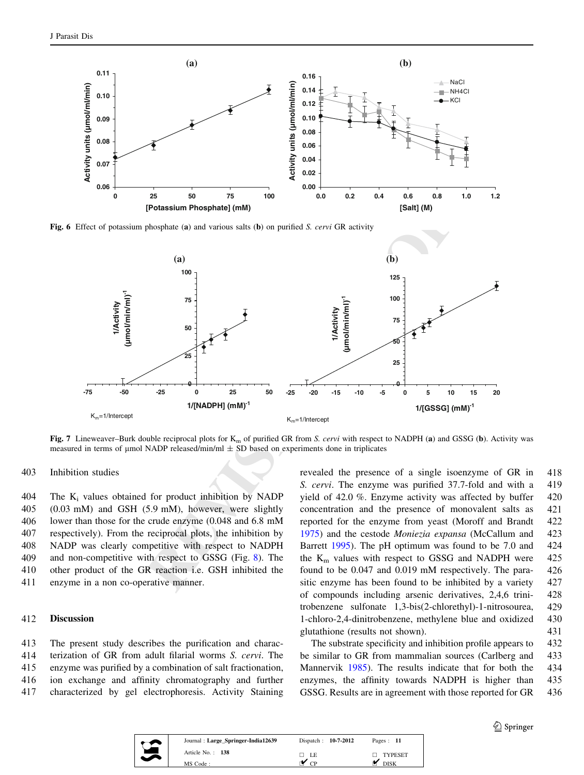<span id="page-6-0"></span>

Fig. 6 Effect of potassium phosphate (a) and various salts (b) on purified S. cervi GR activity



Fig. 7 Lineweaver–Burk double reciprocal plots for  $K_m$  of purified GR from S. cervi with respect to NADPH (a) and GSSG (b). Activity was measured in terms of  $\mu$ mol NADP released/min/ml  $\pm$  SD based on experiments done in triplicates

#### 403 Inhibition studies

404 The  $K_i$  values obtained for product inhibition by NADP (0.03 mM) and GSH (5.9 mM), however, were slightly lower than those for the crude enzyme (0.048 and 6.8 mM respectively). From the reciprocal plots, the inhibition by NADP was clearly competitive with respect to NADPH and non-competitive with respect to GSSG (Fig. 8). The other product of the GR reaction i.e. GSH inhibited the enzyme in a non co-operative manner.

#### 412 Discussion

 The present study describes the purification and charac- terization of GR from adult filarial worms S. cervi. The enzyme was purified by a combination of salt fractionation, ion exchange and affinity chromatography and further characterized by gel electrophoresis. Activity Staining

revealed the presence of a single isoenzyme of GR in 418 S. cervi. The enzyme was purified 37.7-fold and with a 419 yield of 42.0 %. Enzyme activity was affected by buffer 420 concentration and the presence of monovalent salts as 421 reported for the enzyme from yeast (Moroff and Brandt 422 1975) and the cestode Moniezia expansa (McCallum and 423 Barrett [1995\)](#page-9-0). The pH optimum was found to be 7.0 and 424 the  $K<sub>m</sub>$  values with respect to GSSG and NADPH were 425 found to be 0.047 and 0.019 mM respectively. The para- 426 sitic enzyme has been found to be inhibited by a variety 427 of compounds including arsenic derivatives, 2,4,6 trini- 428 trobenzene sulfonate 1,3-bis(2-chlorethyl)-1-nitrosourea, 429 1-chloro-2,4-dinitrobenzene, methylene blue and oxidized 430 glutathione (results not shown). 431

The substrate specificity and inhibition profile appears to 432 be similar to GR from mammalian sources (Carlberg and 433 Mannervik [1985\)](#page-8-0). The results indicate that for both the 434 enzymes, the affinity towards NADPH is higher than 435 GSSG. Results are in agreement with those reported for GR 436



| - | Journal: Large_Springer-India12639 | Dispatch: 10-7-2012 | Pages: 11      |
|---|------------------------------------|---------------------|----------------|
|   | Article No.: 138                   | LE<br>H.            | <b>TYPESET</b> |
|   | MS Code:                           | ΩĽ                  | <b>DISK</b>    |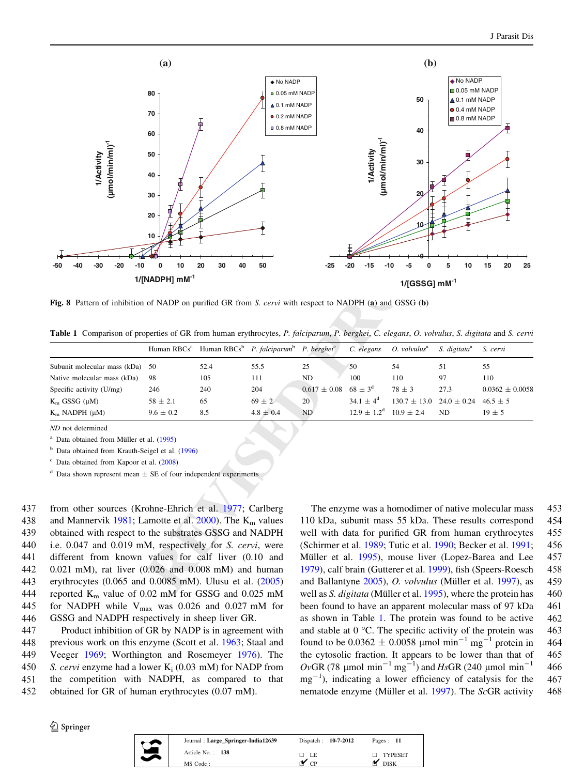<span id="page-7-0"></span>

Fig. 8 Pattern of inhibition of NADP on purified GR from S. cervi with respect to NADPH (a) and GSSG (b)

Table 1 Comparison of properties of GR from human erythrocytes, P. falciparum, P. berghei, C. elegans, O. volvulus, S. digitata and S. cervi

|                                 | Human RBCs <sup>a</sup> | Human RBCs <sup>b</sup> P. falciparum <sup>b</sup> P. berghei <sup>c</sup> |             |                | C. elegans     | $O.$ volvulus $a$ | S. digitata <sup>a</sup> | S. cervi          |
|---------------------------------|-------------------------|----------------------------------------------------------------------------|-------------|----------------|----------------|-------------------|--------------------------|-------------------|
| Subunit molecular mass (kDa) 50 |                         | 52.4                                                                       | 55.5        | 25             | 50             | 54                | 51                       | 55                |
| Native molecular mass (kDa)     | 98                      | 105                                                                        | 111         | ND.            | 100            | 110               | 97                       | 110               |
| Specific activity (U/mg)        | 246                     | 240                                                                        | 204         | $0.617 + 0.08$ | $68 + 3^d$     | $78 + 3$          | 27.3                     | $0.0362 + 0.0058$ |
| $K_m$ GSSG ( $\mu$ M)           | $58 \pm 2.1$            | 65                                                                         | $69 \pm 2$  | <b>20</b>      | $34.1 + 4^d$   | $130.7 + 13.0$    | $24.0 + 0.24$            | $46.5 + 5$        |
| $K_m$ NADPH $(\mu M)$           | $9.6 \pm 0.2$           | 8.5                                                                        | $4.8 + 0.4$ | ND             | $12.9 + 1.2^d$ | $10.9 + 2.4$      | ND.                      | $19 \pm 5$        |

ND not determined

 $a$  Data obtained from Müller et al. (1995)

<sup>b</sup> Data obtained from Krauth-Seigel et al. (1996)

 $\degree$  Data obtained from Kapoor et al. (2008)

 $d$  Data shown represent mean  $\pm$  SE of four independent experiments

437 from other sources (Krohne-Ehrich et al. 1977; Carlberg 438 and Mannervik [1981](#page-8-0); Lamotte et al.  $2000$ ). The K<sub>m</sub> values 439 obtained with respect to the substrates GSSG and NADPH 440 i.e. 0.047 and 0.019 mM, respectively for S. cervi, were 441 different from known values for calf liver (0.10 and 442 0.021 mM), rat liver (0.026 and 0.008 mM) and human 443 erythrocytes (0.065 and 0.0085 mM). Ulusu et al. (2005) 444 reported  $K_m$  value of 0.02 mM for GSSG and 0.025 mM 445 for NADPH while  $V_{\text{max}}$  was 0.026 and 0.027 mM for 446 GSSG and NADPH respectively in sheep liver GR.

 Product inhibition of GR by NADP is in agreement with previous work on this enzyme (Scott et al. [1963;](#page-10-0) Staal and Veeger [1969;](#page-10-0) Worthington and Rosemeyer [1976\)](#page-10-0). The 450 S. cervi enzyme had a lower  $K_i$  (0.03 mM) for NADP from the competition with NADPH, as compared to that obtained for GR of human erythrocytes (0.07 mM).

The enzyme was a homodimer of native molecular mass 453 110 kDa, subunit mass 55 kDa. These results correspond 454 well with data for purified GR from human erythrocytes 455 (Schirmer et al. [1989](#page-9-0); Tutic et al. [1990;](#page-10-0) Becker et al. [1991](#page-8-0); 456 Müller et al. [1995](#page-9-0)), mouse liver (Lopez-Barea and Lee 457 1979), calf brain (Gutterer et al. [1999](#page-9-0)), fish (Speers-Roesch 458 and Ballantyne [2005\)](#page-10-0), O. volvulus (Müller et al. [1997\)](#page-9-0), as 459 well as *S. digitata* (Müller et al.  $1995$ ), where the protein has 460 been found to have an apparent molecular mass of 97 kDa 461 as shown in Table 1. The protein was found to be active 462 and stable at  $0^{\circ}$ C. The specific activity of the protein was 463 found to be  $0.0362 \pm 0.0058$  µmol min<sup>-1</sup> mg<sup>-1</sup> protein in 464 the cytosolic fraction. It appears to be lower than that of 465  $Ov$ GR (78 µmol min<sup>-1</sup> mg<sup>-1</sup>) and HsGR (240 µmol min<sup>-1</sup> 466  $mg^{-1}$ ), indicating a lower efficiency of catalysis for the 467 nematode enzyme (Müller et al. [1997\)](#page-9-0). The  $ScGR$  activity 468

<sup>2</sup> Springer



| Journal: Large_Springer-India12639 | Dispatch: 10-7-2012 | Pages: $11$    |
|------------------------------------|---------------------|----------------|
| Article No.: 138                   | $\Box$ LE           | $\Box$ TYPESET |
| MS Code:                           | $\cap$              | <b>DISK</b>    |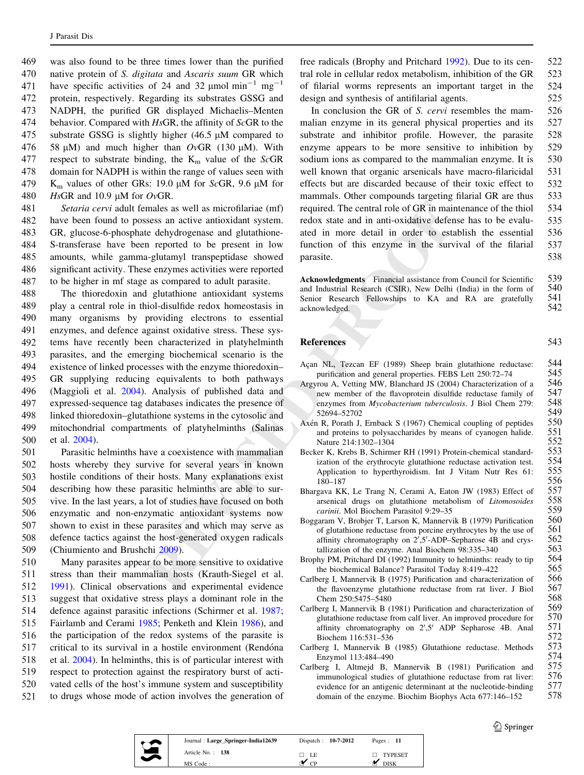<span id="page-8-0"></span>469 was also found to be three times lower than the purified 470 native protein of S. digitata and Ascaris suum GR which 471 have specific activities of 24 and 32  $\mu$ mol min<sup>-1</sup> mg<sup>-1</sup> 472 protein, respectively. Regarding its substrates GSSG and 473 NADPH, the purified GR displayed Michaelis–Menten 474 behavior. Compared with  $H<sub>s</sub>GR$ , the affinity of  $ScGR$  to the 475 substrate GSSG is slightly higher  $(46.5 \mu M)$  compared to 476 58  $\mu$ M) and much higher than OvGR (130  $\mu$ M). With 477 respect to substrate binding, the  $K_m$  value of the ScGR 478 domain for NADPH is within the range of values seen with domain for NADPH is within the range of values seen with 479 K<sub>m</sub> values of other GRs: 19.0  $\mu$ M for ScGR, 9.6  $\mu$ M for 480 HsGR and 10.9  $\mu$ M for OvGR.

 Setaria cervi adult females as well as microfilariae (mf) have been found to possess an active antioxidant system. GR, glucose-6-phosphate dehydrogenase and glutathione- S-transferase have been reported to be present in low amounts, while gamma-glutamyl transpeptidase showed significant activity. These enzymes activities were reported to be higher in mf stage as compared to adult parasite.

males as well as microfilariae (mf) required. The central role of GR in main<br>sees an active antioxidant system. redox state and in anti-oxidative deform<br>are dehydrogenase and glutathione-<br>ated in more detail in order to e The thioredoxin and glutathione antioxidant systems play a central role in thiol-disulfide redox homeostasis in many organisms by providing electrons to essential enzymes, and defence against oxidative stress. These sys- tems have recently been characterized in platyhelminth parasites, and the emerging biochemical scenario is the existence of linked processes with the enzyme thioredoxin– GR supplying reducing equivalents to both pathways (Maggioli et al. [2004\)](#page-9-0). Analysis of published data and expressed-sequence tag databases indicates the presence of linked thioredoxin–glutathione systems in the cytosolic and mitochondrial compartments of platyhelminths (Salinas et al. [2004\)](#page-9-0).

 Parasitic helminths have a coexistence with mammalian hosts whereby they survive for several years in known hostile conditions of their hosts. Many explanations exist describing how these parasitic helminths are able to sur- vive. In the last years, a lot of studies have focused on both enzymatic and non-enzymatic antioxidant systems now shown to exist in these parasites and which may serve as defence tactics against the host-generated oxygen radicals (Chiumiento and Brushchi 2009).

 Many parasites appear to be more sensitive to oxidative stress than their mammalian hosts (Krauth-Siegel et al. [1991\)](#page-9-0). Clinical observations and experimental evidence suggest that oxidative stress plays a dominant role in the defence against parasitic infections (Schirmer et al. [1987](#page-9-0); Fairlamb and Cerami [1985;](#page-9-0) Penketh and Klein [1986\)](#page-9-0), and the participation of the redox systems of the parasite is 517 critical to its survival in a hostile environment (Rendóna et al. [2004\)](#page-9-0). In helminths, this is of particular interest with respect to protection against the respiratory burst of acti- vated cells of the host's immune system and susceptibility to drugs whose mode of action involves the generation of free radicals (Brophy and Pritchard 1992). Due to its cen- 522 tral role in cellular redox metabolism, inhibition of the GR 523 of filarial worms represents an important target in the 524 design and synthesis of antifilarial agents. 525

In conclusion the GR of S. *cervi* resembles the mam- 526 malian enzyme in its general physical properties and its 527 substrate and inhibitor profile. However, the parasite 528 enzyme appears to be more sensitive to inhibition by 529 sodium ions as compared to the mammalian enzyme. It is 530 well known that organic arsenicals have macro-filaricidal 531 effects but are discarded because of their toxic effect to 532 mammals. Other compounds targeting filarial GR are thus 533 required. The central role of GR in maintenance of the thiol 534 redox state and in anti-oxidative defense has to be evalu- 535 ated in more detail in order to establish the essential 536 function of this enzyme in the survival of the filarial 537 parasite. 538

Acknowledgments Financial assistance from Council for Scientific 539<br>and Industrial Research (CSIR), New Delhi (India) in the form of 540 and Industrial Research (CSIR), New Delhi (India) in the form of 540<br>Senior Research Fellowships to KA and RA are gratefully 541 Senior Research Fellowships to KA and RA are gratefully 541 acknowledged 542 acknowledged.

## References 543

Açan NL, Tezcan EF (1989) Sheep brain glutathione reductase: 544<br>purification and general properties FEBS Lett 250.72–74 545 purification and general properties. FEBS Lett 250:72–74 545<br>Trou A. Vetting MW, Blanchard JS (2004) Characterization of a 546

- Argyrou A, Vetting MW, Blanchard JS (2004) Characterization of a 546 new member of the flavoprotein disulfide reductase family of 547 new member of the flavoprotein disulfide reductase family of 547<br>enzymes from *Mycobacterium tuberculosis*. J Biol Chem 279: 548 enzymes from *Mycobacterium tuberculosis*. J Biol Chem 279: 548<br>52694–52702 549 549 – 52702<br>1 R, Porath J, Ernback S (1967) Chemical coupling of peptides 550
- Axén R, Porath J, Ernback S (1967) Chemical coupling of peptides 550 and proteins to polysaccharides by means of cyanogen halide. 551 and proteins to polysaccharides by means of cyanogen halide. 551<br>Nature 214:1302–1304 552 Nature 214:1302-1304
- Becker K, Krebs B, Schirmer RH (1991) Protein-chemical standard-<br>ization of the ervthrocyte glutathione reductase activation test. 554 ization of the erythrocyte glutathione reductase activation test. 554<br>Application to hyperthyroidism. Int J Vitam Nutr Res 61: 555 Application to hyperthyroidism. Int J Vitam Nutr Res 61: 555<br>180–187 556 180–187 556
- Bhargava KK, Le Trang N, Cerami A, Eaton JW (1983) Effect of 557 arsenical drugs on glutathione metabolism of *Litomosoides* 558 arsenical drugs on glutathione metabolism of *Litomosoides* 558 carinii. Mol Biochem Parasitol 9:29–35 *carinii*. Mol Biochem Parasitol 9:29–35<br>2015 - Jaram V, Brobjer T, Larson K, Mannervik B (1979) Purification
- Boggaram V, Brobjer T, Larson K, Mannervik B (1979) Purification 560 of glutathione reductase from porcine ervthrocytes by the use of 561 of glutathione reductase from porcine erythrocytes by the use of  $561$ <br>affinity chromatography on 2'.5'-ADP-Sepharose 4B and crys- $562$ affinity chromatography on  $2'$ , 5'-ADP-Sepharose 4B and crys- 562 tallization of the enzyme. Anal Biochem  $98:335-340$  563<br>hy PM Pritchard DJ (1992) Immunity to helminths: ready to tip 564
- Brophy PM, Pritchard DI (1992) Immunity to helminths: ready to tip 564<br>the biochemical Balance? Parasitol Today 8:419–422 the biochemical Balance? Parasitol Today 8:419-422
- Carlberg I, Mannervik B (1975) Purification and characterization of 566 the flavoenzyme glutathione reductase from rat liver. J Biol 567<br>Chem 250:5475–5480 568 668 Chem 250:5475–5480<br>
Solverg I. Mannervik B (1981) Purification and characterization of 569
- Carlberg I, Mannervik B (1981) Purification and characterization of 569<br>glutathione reductase from calf liver. An improved procedure for 570 glutathione reductase from calf liver. An improved procedure for  $570$ <br>affinity chromatography on  $2' \cdot 5'$  ADP Sepharose 4B. Anal  $571$ affinity chromatography on  $2'$ , 5' ADP Sepharose 4B. Anal 571 Biochem 116:531–536<br>
berg I, Mannervik B (1985) Glutathione reductase. Methods 573
- Carlberg I, Mannervik B (1985) Glutathione reductase. Methods 573<br>Enzymol 113:484–490 574 Enzymol 113:484–490<br>
S/4 erg I. Altmeid B. Mannervik B (1981) Purification and 575
- Carlberg I, Altmejd B, Mannervik B (1981) Purification and 575 immunological studies of glutathione reductase from rat liver: 576<br>evidence for an antigenic determinant at the nucleotide-binding 577 evidence for an antigenic determinant at the nucleotide-binding  $577$ <br>domain of the enzyme. Biochim Biophys Acta 677:146–152  $578$ domain of the enzyme. Biochim Biophys Acta 677:146–152



| Journal: Large_Springer-India12639 | Dispatch: 10-7-2012 | Pages: 11      |
|------------------------------------|---------------------|----------------|
| Article No.: 138                   |                     | <b>TYPESET</b> |
| MS Code:                           |                     |                |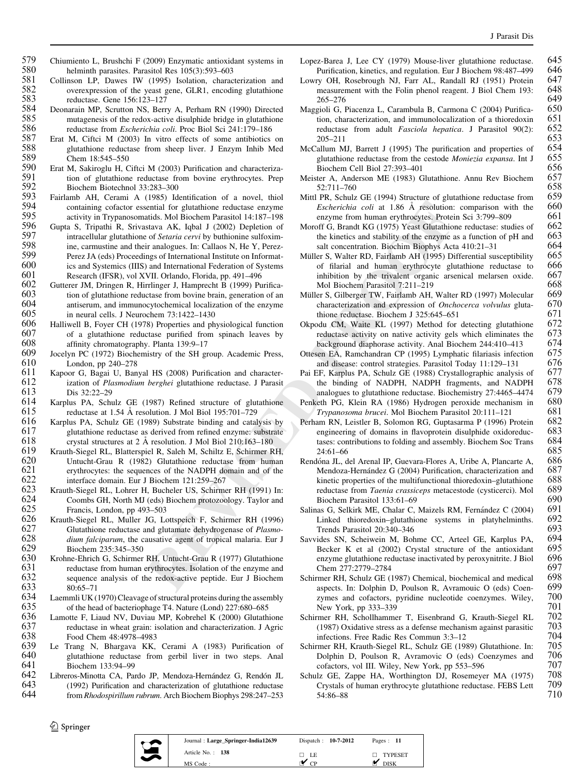- <span id="page-9-0"></span>579 Chiumiento L, Brushchi F (2009) Enzymatic antioxidant systems in 580 helminth parasites. Parasitol Res 105(3):593–603 580 helminth parasites. Parasitol Res 105(3):593–603<br>581 Collinson LP, Dawes IW (1995) Isolation, charac
- 581 Collinson LP, Dawes IW (1995) Isolation, characterization and 582 overexpression of the veast gene. GLR1, encoding glutathione 582 overexpression of the yeast gene, GLR1, encoding glutathione<br>583 reductase Gene 156:123-127 583 reductase. Gene 156:123–127<br>584 Deonarain MP Scrutton NS Berr
- 584 Deonarain MP, Scrutton NS, Berry A, Perham RN (1990) Directed 585 mutagenesis of the redox-active disulphide bridge in glutathione 585 mutagenesis of the redox-active disulphide bridge in glutathione<br>586 reductase from *Escherichia coli*. Proc Biol Sci 241:179–186 586 reductase from *Escherichia coli*. Proc Biol Sci 241:179–186<br>587 Erat M, Ciftci M (2003) In vitro effects of some antibiotics
- 587 Erat M, Ciftci M (2003) In vitro effects of some antibiotics on stagger substitution enductase from sheep liver. J Enzym Inhib Med 588 glutathione reductase from sheep liver. J Enzym Inhib Med<br>589 Chem 18:545–550 589 Chem 18:545–550<br>590 Erat M. Sakiroglu H. C
- Erat M, Sakiroglu H, Ciftci M (2003) Purification and characteriza-591 tion of glutathione reductase from bovine erythrocytes. Prep<br>592 Biochem Biotechnol 33:283-300 592 Biochem Biotechnol 33:283–300<br>593 Fairlamb AH, Cerami A (1985) Id
- 593 Fairlamb AH, Cerami A (1985) Identification of a novel, thiol<br>594 containing cofactor essential for glutathione reductase enzyme 594 containing cofactor essential for glutathione reductase enzyme<br>595 contribution activity in Trypanosomatids. Mol Biochem Parasitol 14:187–198 595 activity in Trypanosomatids. Mol Biochem Parasitol 14:187–198
- ential for glutathione reductase entry<br>me <br>
Escherichia coli at 1.86 Å resolutions<br>
media Mol Biochem Parsiston at 1.86 Å resolutions<br>
media Mol Biochem Parsiston at the kindets and shelling of the carge and there are the 596 Gupta S, Tripathi R, Srivastava AK, Iqbal J (2002) Depletion of 597 intracellular glutathione of *Setaria cervi* by buthionine sulfoxim-597 intracellular glutathione of *Setaria cervi* by buthionine sulfoxim-<br>598 ine, carmustine and their analogues. In: Callaos N. He Y. Perez-598 ine, carmustine and their analogues. In: Callaos N, He Y, Perez-<br>599 Perez-JA (eds) Proceedings of International Institute on Informat-599 Perez JA (eds) Proceedings of International Institute on Informat-<br>600 ics and Systemics (IIIS) and International Federation of Systems 600 ics and Systemics (IIIS) and International Federation of Systems 601 Research (IFSR) vol XVII Orlando Florida pp. 491–496 601 Research (IFSR), vol XVII. Orlando, Florida, pp. 491–496
- 602 Gutterer JM, Dringen R, Hirrlinger J, Hamprecht B (1999) Purifica-<br>603 tion of glutathione reductase from bovine brain, generation of an  $603$  tion of glutathione reductase from bovine brain, generation of an  $604$  antiserum, and immunocytochemical localization of the enzyme 604 antiserum, and immunocytochemical localization of the enzyme  $605$  in neural cells. J Neurochem 73:1422–1430 605 in neural cells. J Neurochem 73:1422–1430
- 606 Halliwell B, Foyer CH (1978) Properties and physiological function 607 of a glutathione reductase purified from spinach leaves by  $607$  of a glutathione reductase purified from spinach leaves by  $608$  a finity chromatography. Planta 139:9–17 608 affinity chromatography. Planta 139:9–17<br>609 Jocelyn PC (1972) Biochemistry of the SH gr
- 609 Jocelyn PC (1972) Biochemistry of the SH group. Academic Press, 610 London. pp 240–278 610 London, pp 240–278<br>611 Kapoor G Bagai U Ban
- Kapoor G, Bagai U, Banyal HS (2008) Purification and character-612 ization of Plasmodium berghei glutathione reductase. J Parasit 613 Dis 32:22–29<br>614 Karplus PA, Schu
- 614 Karplus PA, Schulz GE (1987) Refined structure of glutathione 615 reductase at 1.54  $\AA$  resolution. J Mol Biol 195:701–729 615 reductase at 1.54 Å resolution. J Mol Biol 195:701–729<br>616 Karplus PA, Schulz GE (1989) Substrate binding and catal
- 616 Karplus PA, Schulz GE (1989) Substrate binding and catalysis by glutathione reductase as derived from refined enzyme: substrate 618 crystal structures at 2 Å resolution. J Mol Biol 210:163–180<br>619 Krauth-Siegel RL, Blatterspiel R, Saleh M, Schiltz E, Schirmer R
- 619 Krauth-Siegel RL, Blatterspiel R, Saleh M, Schiltz E, Schirmer RH, 620 Untucht-Grau R (1982) Glutathione reductase from human  $621$  ervthrocytes: the sequences of the NADPH domain and of the 621 erythrocytes: the sequences of the NADPH domain and of the 622 interface domain. Eur J Biochem 121:259–267 interface domain. Eur J Biochem 121:259-267
- 623 Krauth-Siegel RL, Lohrer H, Bucheler US, Schirmer RH (1991) In: 624 Coombs GH, North MJ (eds) Biochem protozoology. Taylor and 625 Francis, London, pp 493–503<br>626 Krauth-Siegel RL, Muller JG, Lo
- 626 Krauth-Siegel RL, Muller JG, Lottspeich F, Schirmer RH (1996) 627 Glutathione reductase and glutamate dehydrogenase of *Plasmo-*627 Glutathione reductase and glutamate dehydrogenase of *Plasmo-*<br>628 *dium falciparum*, the causative agent of tropical malaria. Eur J 628 dium falciparum, the causative agent of tropical malaria. Eur J<br>629 Biochem 235:345–350 629 Biochem 235:345–350<br>630 Krohne-Ehrich G. Schirmer
- 630 Krohne-Ehrich G, Schirmer RH, Untucht-Grau R (1977) Glutathione 631 reductase from human erythrocytes. Isolation of the enzyme and sequence analysis of the redox-active peptide. Eur J Biochem 632 sequence analysis of the redox-active peptide. Eur J Biochem 633 80:65–71 633 80:65–71<br>634 Laemmli UK (
- 634 Laemmli UK (1970) Cleavage of structural proteins during the assembly 635 of the head of bacteriophage T4. Nature (Lond) 227:680–685 of the head of bacteriophage T4. Nature (Lond) 227:680-685
- 636 Lamotte F, Liaud NV, Duviau MP, Kobrehel K (2000) Glutathione 637 reductase in wheat grain: isolation and characterization. J Agric 638 Food Chem 48:4978–4983<br>639 Le Trang N. Bhargava KK.
- 639 Le Trang N, Bhargava KK, Cerami A (1983) Purification of 640 glutathione reductase from gerbil liver in two steps. Anal 641 Biochem 133:94–99
- 642 Libreros-Minotta CA, Pardo JP, Mendoza-Hernández G, Rendón JL 643 (1992) Purification and characterization of glutathione reductase 643 (1992) Purification and characterization of glutathione reductase<br>644 from *Rhodospirillum rubrum*. Arch Biochem Biophys 298:247–253 from Rhodospirillum rubrum. Arch Biochem Biophys 298:247-253
- Lopez-Barea J, Lee CY (1979) Mouse-liver glutathione reductase. 645
- Purification, kinetics, and regulation. Eur J Biochem 98:487–499 646<br>ry OH, Rosebrough NJ, Farr AL, Randall RJ (1951) Protein 647 Lowry OH, Rosebrough NJ, Farr AL, Randall RJ (1951) Protein 647<br>measurement with the Folin phenol reagent. J Biol Chem 193: 648 measurement with the Folin phenol reagent. J Biol Chem 193: 648<br>265–276 265–276 649
- Maggioli G, Piacenza L, Carambula B, Carmona C (2004) Purifica-<br>tion, characterization, and immunolocalization of a thioredoxin 651 tion, characterization, and immunolocalization of a thioredoxin  $651$ <br>reductase from adult *Fasciola hepatica*. J Parasitol 90(2):  $652$ reductase from adult *Fasciola hepatica*. J Parasitol 90(2):  $652$ <br>205–211 653 205–211 653
- McCallum MJ, Barrett J (1995) The purification and properties of 654<br>
slutathione reductase from the cestode *Moniezia expansa* Int J 655 glutathione reductase from the cestode *Moniezia expansa*. Int J 655<br>Biochem Cell Biol 27:393-401 Biochem Cell Biol  $27:393-401$
- Meister A, Anderson ME (1983) Glutathione. Annu Rev Biochem 657<br>52:711-760 658 52:711–760 658
- Mittl PR, Schulz GE (1994) Structure of glutathione reductase from 659 Escherichia coli at 1.86  $\AA$  resolution: comparison with the 660 Escherichia coli at  $1.86$  Å resolution: comparison with the enzyme from human erythrocytes. Protein Sci 3:799–809 661
- Moroff G, Brandt KG (1975) Yeast Glutathione reductase: studies of 662<br>the kinetics and stability of the enzyme as a function of pH and 663 the kinetics and stability of the enzyme as a function of pH and  $663$  salt concentration. Biochim Biophys Acta 410:21–31  $664$ salt concentration. Biochim Biophys Acta 410:21–31 664<br>er S. Walter RD. Fairlamb AH (1995) Differential susceptibility 665
- Müller S, Walter RD, Fairlamb AH (1995) Differential susceptibility 665<br>of filarial and human ervthrocyte glutathione reductase to 666 of filarial and human erythrocyte glutathione reductase to inhibition by the trivalent organic arsenical melarsen oxide. 667 Mol Biochem Parasitol 7:211–219 668<br>er S. Gilberger TW. Fairlamb AH. Walter RD (1997) Molecular 669
- Müller S, Gilberger TW, Fairlamb AH, Walter RD (1997) Molecular 669<br>characterization and expression of *Onchocerca volvulus* gluta- 670 characterization and expression of *Onchocerca volvulus* gluta-<br>thione reductase. Biochem J 325:645–651 thione reductase. Biochem J 325:645–651 671<br>
odu CM, Waite KL (1997) Method for detecting glutathione 672
- Okpodu CM, Waite KL (1997) Method for detecting glutathione 672 reductase activity on native activity gels which eliminates the 673<br>background diaphorase activity. Anal Biochem 244:410–413 674 background diaphorase activity. Anal Biochem 244:410–413
- Ottesen EA, Ramchandran CP (1995) Lymphatic filariasis infection 675<br>and disease: control strategies. Parasitol Today 11:129–131 676 and disease: control strategies. Parasitol Today 11:129–131 676<br>EE Karplus PA Schulz GE (1988) Crystallographic analysis of 677
- Pai EF, Karplus PA, Schulz GE (1988) Crystallographic analysis of the binding of NADPH, NADPH fragments, and NADPH 678<br>analogues to glutathione reductase. Biochemistry 27:4465-4474 679 analogues to glutathione reductase. Biochemistry 27:4465–4474 679
- Penketh PG, Klein RA (1986) Hydrogen peroxide mechanism in 680 Trypanosoma brucei. Mol Biochem Parasitol 20:111–121 681
- Perham RN, Leistler B, Solomon RG, Guptasarma P (1996) Protein 682 engineering of domains in flavoprotein disulphide oxidoreductases: contributions to folding and assembly. Biochem Soc Trans 684 24:61–66 685
- Rendóna JL, del Arenal IP, Guevara-Flores A, Uribe A, Plancarte A, 686<br>Mendoza-Hernández G (2004) Purification, characterization and 687 Mendoza-Hernández G (2004) Purification, characterization and 687<br>kinetic properties of the multifunctional thioredoxin–glutathione 688 kinetic properties of the multifunctional thioredoxin–glutathione reductase from *Taenia crassiceps* metacestode (cysticerci). Mol 689<br>Biochem Parasitol 133:61–69 Biochem Parasitol 133:61–69<br>aas G. Selkirk ME. Chalar C. Maizels RM. Fernández C (2004) 691
- Salinas G, Selkirk ME, Chalar C, Maizels RM, Fernández C (2004) 691<br>Linked thioredoxin-glutathione systems in platyhelminths. 692 Linked thioredoxin–glutathione systems in platyhelminths. 692 Trends Parasitol 20:340–346 693
- Savvides SN, Scheiwein M, Bohme CC, Arteel GE, Karplus PA, 694<br>Becker K et al (2002) Crystal structure of the antioxidant 695 Becker K et al  $(2002)$  Crystal structure of the antioxidant enzyme glutathione reductase inactivated by peroxynitrite. J Biol 696 697 Chem 277:2779–2784<br>Framer RH, Schulz GE (1987) Chemical, biochemical and medical 698
- Schirmer RH, Schulz GE (1987) Chemical, biochemical and medical 698 aspects. In: Dolphin D, Poulson R, Avramouic O (eds) Coen- 699 aspects. In: Dolphin D, Poulson R, Avramouic O (eds) Coen- 699 zymes and cofactors pyridine nucleotide coenzymes. Wiley.  $700$ zymes and cofactors, pyridine nucleotide coenzymes. Wiley,  $\frac{700}{201}$ <br>New York, pp 333–339 101 New York, pp 333–339<br>201 – Ther RH. Schollhammer T. Eisenbrand G. Krauth-Siegel RL
- Schirmer RH, Schollhammer T, Eisenbrand G, Krauth-Siegel RL 702 (1987) Oxidative stress as a defense mechanism against parasitic 703 (1987) Oxidative stress as a defense mechanism against parasitic  $\frac{703}{04}$  infections. Free Radic Res Commun 3:3–12 infections. Free Radic Res Commun 3:3–12 704<br>Ther RH. Krauth-Siegel RL. Schulz GE (1989) Glutathione. In: 705
- Schirmer RH, Krauth-Siegel RL, Schulz GE (1989) Glutathione. In: 705 Dolphin D, Poulson R, Avramovic O (eds) Coenzymes and 706 cofactors, vol III. Wilev, New York, pp 553–596 707 cofactors, vol III. Wiley, New York, pp 553–596 707<br>lz GE. Zappe HA. Worthington DJ. Rosemever MA (1975) 708
- Schulz GE, Zappe HA, Worthington DJ, Rosemeyer MA (1975) 708<br>Crystals of human erythrocyte glutathione reductase. FEBS Lett 709 Crystals of human erythrocyte glutathione reductase. FEBS Lett 54:86–88 710

2 Springer



| Journal: Large_Springer-India12639 | Dispatch: 10-7-2012 | Pages: 11   |
|------------------------------------|---------------------|-------------|
| Article No.: 138                   | □ LE                | TYPESET     |
| MS Code:                           | $\cap$              | <b>DISK</b> |
|                                    |                     |             |